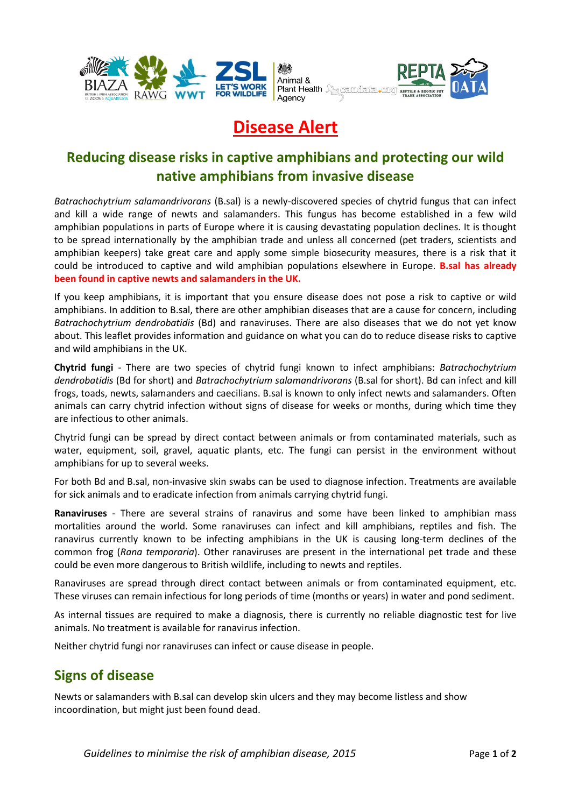

# **Disease Alert**

## **Reducing disease risks in captive amphibians and protecting our wild native amphibians from invasive disease**

*Batrachochytrium salamandrivorans* (B.sal) is a newly-discovered species of chytrid fungus that can infect and kill a wide range of newts and salamanders. This fungus has become established in a few wild amphibian populations in parts of Europe where it is causing devastating population declines. It is thought to be spread internationally by the amphibian trade and unless all concerned (pet traders, scientists and amphibian keepers) take great care and apply some simple biosecurity measures, there is a risk that it could be introduced to captive and wild amphibian populations elsewhere in Europe. **B.sal has already been found in captive newts and salamanders in the UK.**

If you keep amphibians, it is important that you ensure disease does not pose a risk to captive or wild amphibians. In addition to B.sal, there are other amphibian diseases that are a cause for concern, including *Batrachochytrium dendrobatidis* (Bd) and ranaviruses. There are also diseases that we do not yet know about. This leaflet provides information and guidance on what you can do to reduce disease risks to captive and wild amphibians in the UK.

**Chytrid fungi** - There are two species of chytrid fungi known to infect amphibians: *Batrachochytrium dendrobatidis* (Bd for short) and *Batrachochytrium salamandrivorans* (B.sal for short). Bd can infect and kill frogs, toads, newts, salamanders and caecilians. B.sal is known to only infect newts and salamanders. Often animals can carry chytrid infection without signs of disease for weeks or months, during which time they are infectious to other animals.

Chytrid fungi can be spread by direct contact between animals or from contaminated materials, such as water, equipment, soil, gravel, aquatic plants, etc. The fungi can persist in the environment without amphibians for up to several weeks.

For both Bd and B.sal, non-invasive skin swabs can be used to diagnose infection. Treatments are available for sick animals and to eradicate infection from animals carrying chytrid fungi.

**Ranaviruses** - There are several strains of ranavirus and some have been linked to amphibian mass mortalities around the world. Some ranaviruses can infect and kill amphibians, reptiles and fish. The ranavirus currently known to be infecting amphibians in the UK is causing long-term declines of the common frog (*Rana temporaria*). Other ranaviruses are present in the international pet trade and these could be even more dangerous to British wildlife, including to newts and reptiles.

Ranaviruses are spread through direct contact between animals or from contaminated equipment, etc. These viruses can remain infectious for long periods of time (months or years) in water and pond sediment.

As internal tissues are required to make a diagnosis, there is currently no reliable diagnostic test for live animals. No treatment is available for ranavirus infection.

Neither chytrid fungi nor ranaviruses can infect or cause disease in people.

#### **Signs of disease**

Newts or salamanders with B.sal can develop skin ulcers and they may become listless and show incoordination, but might just been found dead.